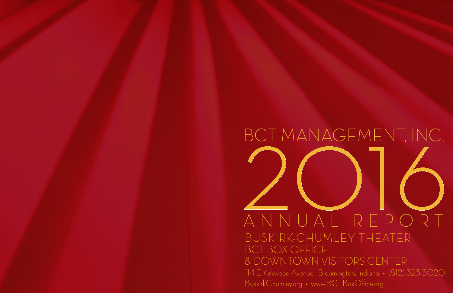# BCT MANAGEMENT, INC.<br>ANNUAL REPORT ANNUAL REPORT BCT MANAGEMENT, INC. BUSKIRK-CHUMLEY THEATER BCT Box Office & Downtown Visitors Center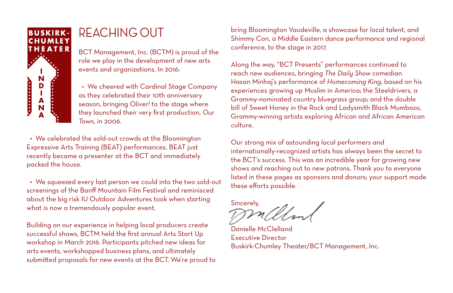

### REACHING OUT

BCT Management, Inc. (BCTM) is proud of the role we play in the development of new arts events and organizations. In 2016:

 • We cheered with Cardinal Stage Company as they celebrated their 10th anniversary season, bringing *Oliver!* to the stage where they launched their very first production, *Our Town,* in 2006.

 • We celebrated the sold-out crowds at the Bloomington Expressive Arts Training (BEAT) performances. BEAT just recently became a presenter at the BCT and immediately packed the house.

 • We squeezed every last person we could into the two sold-out screenings of the Banff Mountain Film Festival and reminisced about the big risk IU Outdoor Adventures took when starting what is now a tremendously popular event.

Building on our experience in helping local producers create successful shows, BCTM held the first annual Arts Start Up workshop in March 2016. Participants pitched new ideas for arts events, workshopped business plans, and ultimately submitted proposals for new events at the BCT. We're proud to bring Bloomington Vaudeville, a showcase for local talent, and Shimmy Con, a Middle Eastern dance performance and regional conference, to the stage in 2017.

Along the way, "BCT Presents" performances continued to reach new audiences, bringing *The Daily Show* comedian Hasan Minhaj's performance of *Homecoming King*, based on his experiences growing up Muslim in America; the Steeldrivers, a Grammy-nominated country bluegrass group; and the double bill of Sweet Honey in the Rock and Ladysmith Black Mumbazo, Grammy-winning artists exploring African and African American culture.

Our strong mix of astounding local performers and internationally-recognized artists has always been the secret to the BCT's success. This was an incredible year for growing new shows and reaching out to new patrons. Thank you to everyone listed in these pages as sponsors and donors; your support made these efforts possible.

Sincerely,

Danielle McClelland Executive Director Buskirk-Chumley Theater/BCT Management, Inc.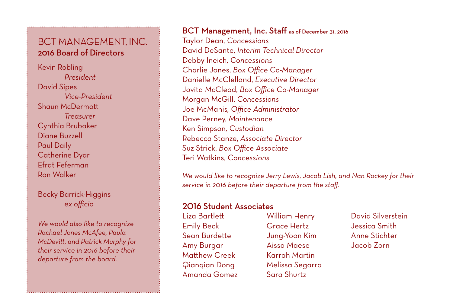### BCT Management, Inc. 2016 Board of Directors

Kevin Robling *President* David Sipes *Vice-President* Shaun McDermott *Treasurer* Cynthia Brubaker Diane Buzzell Paul Daily Catherine Dyar Efrat Feferman Ron Walker

Becky Barrick-Higgins *ex officio*

*We would also like to recognize Rachael Jones McAfee, Paula McDevitt, and Patrick Murphy for their service in 2016 before their departure from the board.*

### BCT Management, Inc. Staff as of December 31, 2016 Taylor Dean, *Concessions* David DeSante, *Interim Technical Director* Debby Ineich*, Concessions* Charlie Jones, *Box Office Co-Manager* Danielle McClelland, *Executive Director* Jovita McCleod, *Box Office Co-Manager* Morgan McGill, *Concessions* Joe McManis*, Office Administrator* Dave Perney, *Maintenance* Ken Simpson*, Custodian* Rebecca Stanze, *Associate Director* Suz Strick, *Box Office Associate* Teri Watkins, *Concessions*

*We would like to recognize Jerry Lewis, Jacob Lish, and Nan Rockey for their service in 2016 before their departure from the staff.*

### 2016 Student Associates

Liza Bartlett Emily Beck Sean Burdette Amy Burgar Matthew Creek Qianqian Dong Amanda Gomez

William Henry Grace Hertz Jung-Yoon Kim Aissa Maese Karrah Martin Melissa Segarra Sara Shurtz

David Silverstein Jessica Smith Anne Stichter Jacob Zorn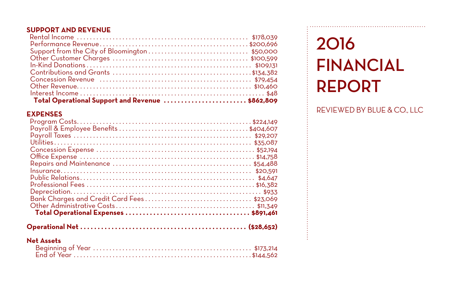#### **SUPPORT AND REVENUE**

| Total Operational Support and Revenue  \$862,809 |  |
|--------------------------------------------------|--|

### **EXPENSES**

|--|--|--|

#### **Net Assets**

### **2016 Financial Report**

REVIEWED BY Blue & Co., LLC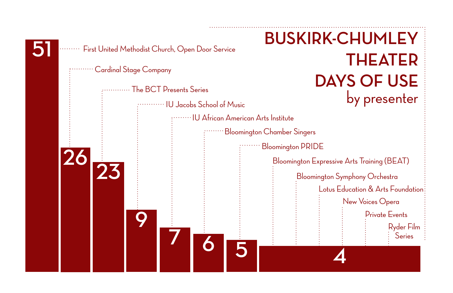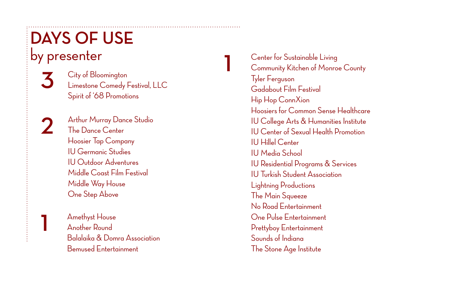### **DAYS OF U** by presenter

City of Bloomington 3 Limestone Comedy Festival, LL C Spirit of '68 Promotions

**312**  $\mathbf 2$ 

Arthur Murray Dance Studio The Dance Center Hoosier Tap Company IU Germanic Studies IU Outdoor Adventures Middle Coast Film Festival Middle Way House One Step Above

Amethyst House Another Round Balalaika & Domra Association Bemused Entertainment

Center for Sustainable Living Community Kitchen of Monroe County Tyler Ferguson Gadabout Film Festival Hip Hop ConnXion Hoosiers for Common Sense Healthcare IU College Arts & Humanities Institute IU Center of Sexual Health Promotion IU Hillel Center IU Media School IU Residential Programs & Services IU Turkish Student Association Lightning Productions The Main Squeeze No Road Entertainment One Pulse Entertainment Prettyboy Entertainment Sounds of Indiana The Stone Age Institute

**1**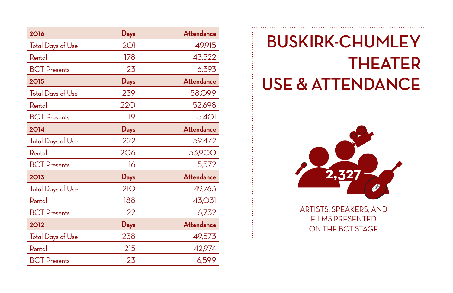| 2016                     | Days       | Attendance        |
|--------------------------|------------|-------------------|
| <b>Total Days of Use</b> | 2O1        | 49,915            |
| Rental                   | 178        | 43,522            |
| <b>BCT</b> Presents      | 23         | 6,393             |
| 2015                     | Days       | <b>Attendance</b> |
| <b>Total Days of Use</b> | 239        | 58,099            |
| Rental                   | <b>220</b> | 52,698            |
| <b>BCT</b> Presents      | 19         | 5,401             |
| 2014                     | Days       | <b>Attendance</b> |
| <b>Total Days of Use</b> | 222        | 59,472            |
| Rental                   | 206        | <b>53,900</b>     |
| <b>BCT</b> Presents      | 16         | 5,572             |
| 2013                     | Days       | <b>Attendance</b> |
| Total Days of Use        | 21O        | 49,763            |
| Rental                   | 188        | 43,031            |
| <b>BCT</b> Presents      | 22         | 6,732             |
| 2012                     | Days       | <b>Attendance</b> |
| <b>Total Days of Use</b> | 238        | 49,573            |
| Rental                   | 215        | 42,974            |
| <b>BCT</b> Presents      | 23         | 6,599             |

## **BUSKIRK-CHUMLEY Theater** USE & ATTENDANCE



artists, Speakers, and Films presented on the bct stage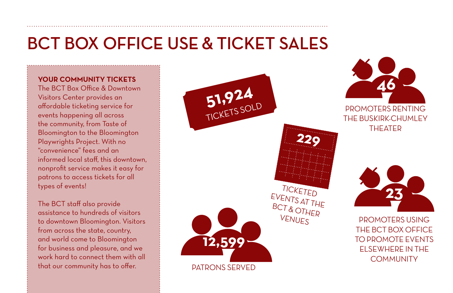### **BCT Box Office Use & Ticket Sales**

#### **YOUR COMMUNITY TICKETS**

The BCT Box Office & Downtown Visitors Center provides an affordable ticketing service for events happening all across the community, from Taste of Bloomington to the Bloomington Playwrights Project. With no "convenience" fees and an informed local staff, this downtown, nonprofit service makes it easy for patrons to access tickets for all types of events!

The BCT staff also provide assistance to hundreds of visitors to downtown Bloomington. Visitors from across the state, country, and world come to Bloomington for business and pleasure, and we work hard to connect them with all that our community has to offer.

**51,924** Ticketed Events at the BCT & Other **VENUES 23** Patrons Served **12,599 46** Promoters Renting the Buskirk-Chumley **THEATED** Promoters Using the BCT Box Office to Promote Events Elsewhere in the **COMMUNITY 229**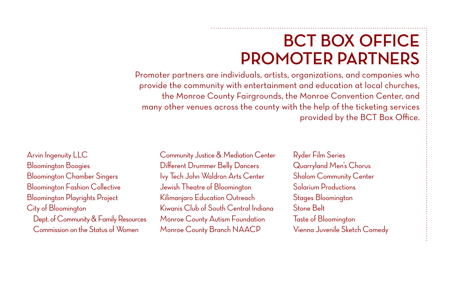### **BCT Box Office promoter Partners**

Promoter partners are individuals, artists, organizations, and companies who provide the community with entertainment and education at local churches, the Monroe County Fairgrounds, the Monroe Convention Center, and many other venues across the county with the help of the ticketing services provided by the BCT Box Office.

Arvin Ingenuity LLC Bloomington Boogies Bloomington Chamber Singers Bloomington Fashion Collective Bloomington Playrights Project City of Bloomington Dept. of Community & Family Resources Commission on the Status of Women

Community Justice & Mediation Center Different Drummer Belly Dancers Ivy Tech John Waldron Arts Center Jewish Theatre of Bloomington Kilimanjaro Education Outreach Kiwanis Club of South Central Indiana Monroe County Autism Foundation Monroe County Branch NAACP

Ryder Film Series Quarryland Men's Chorus Shalom Community Center Solarium Productions Stages Bloomington Stone Belt Taste of Bloomington Vienna Juvenile Sketch Comedy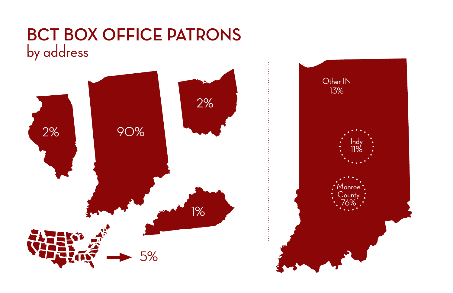### **BCT Box Office patrons**  by address

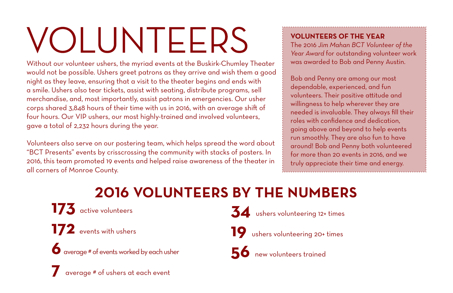# VOLUNTEERS

Without our volunteer ushers, the myriad events at the Buskirk-Chumley Theater would not be possible. Ushers greet patrons as they arrive and wish them a good night as they leave, ensuring that a visit to the theater begins and ends with a smile. Ushers also tear tickets, assist with seating, distribute programs, sell merchandise, and, most importantly, assist patrons in emergencies. Our usher corps shared 3,848 hours of their time with us in 2016, with an average shift of four hours. Our VIP ushers, our most highly-trained and involved volunteers, gave a total of 2,232 hours during the year.

Volunteers also serve on our postering team, which helps spread the word about "BCT Presents" events by crisscrossing the community with stacks of posters. In 2016, this team promoted 19 events and helped raise awareness of the theater in all corners of Monroe County.

#### **VOLUNTEERS OF THE YEAR**

The 2016 *Jim Mahan BCT Volunteer of the Year Award* for outstanding volunteer work was awarded to Bob and Penny Austin.

Bob and Penny are among our most dependable, experienced, and fun volunteers. Their positive attitude and willingness to help wherever they are needed is invaluable. They always fill their roles with confidence and dedication, going above and beyond to help events run smoothly. They are also fun to have around! Bob and Penny both volunteered for more than 20 events in 2016, and we truly appreciate their time and energy.

### **2016 Volunteers By The Numbers**

**173** active volunteers

**172** events with ushers

**6** average # of events worked by each usher

**7** average # of ushers at each event

**34** ushers volunteering 12+ times

**19** ushers volunteering 20+ times

**56** new volunteers trained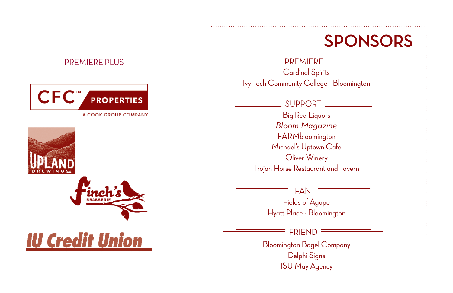### **SPONSORS**

Cardinal Spirits Ivy Tech Community College - Bloomington  $PREMIERE \equiv$ 

 $\equiv$  SUPPORT  $\equiv$ 

Big Red Liquors *Bloom Magazine* **FARMbloomington** Michael's Uptown Cafe Oliver Winery Trojan Horse Restaurant and Tavern

FAN

Fields of Agape Hyatt Place - Bloomington

**FDIEND** 

Bloomington Bagel Company Delphi Signs ISU May Agency



 $\equiv$  PREMIERE PLUS  $\equiv$ 





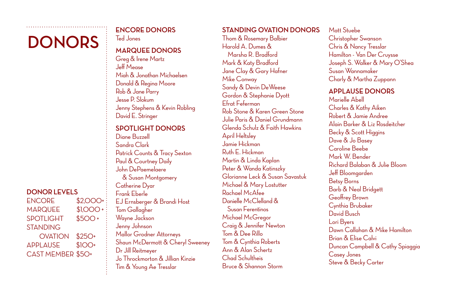### **Donors**

#### **DONOR LEVELS**

ENCORE \$2,000+  $MAPQUFF$  \$1,000 + SPOTLIGHT \$500+ **STANDING**  OVATION \$250+ APPLAUSE \$100+ CAST MEMBER \$50+

#### **ENCORE DONORS**

Ted Jones

### **MARQUEE DONORS**

Greg & Irene Martz Jeff Mease Miah & Jonathan Michaelsen Donald & Regina Moore Rob & Jane Parry Jesse P. Slokum Jenny Stephens & Kevin Robling David E. Stringer

#### **SPOTLIGHT DONORS**

Diane Buzzell Sandra Clark Patrick Counts & Tracy Sexton Paul & Courtney Daily John DePaemelaere & Susan Montgomery Catherine Dyar Frank Eberle EJ Ernsberger & Brandi Host Tom Gallagher Wayne Jackson Jenny Johnson Mallor Grodner Attorneys Shaun McDermott & Cheryl Sweeney Dr Jill Reitmeyer Jo Throckmorton & Jillian Kinzie Tim & Young Ae Tresslar

#### **STANDING OVATION DONORS**

Thom & Rosemary Balbier Harold A. Dumes & Marsha R. Bradford Mark & Katy Bradford Jane Clay & Gary Hafner Mike Conway Sandy & Devin DeWeese Gordon & Stephanie Dyott Efrat Feferman Rob Stone & Karen Green Stone Julie Paris & Daniel Grundmann Glenda Schulz & Faith Hawkins April Heltsley Jamie Hickman Ruth E. Hickman Martin & Linda Kaplan Peter & Wanda Katinszky Glorianne Leck & Susan Savastuk Michael & Mary Lostutter Rachael McAfee Danielle McClelland & Susan Ferentinos Michael McGregor Craig & Jennifer Newton Tom & Dee Rillo Tom & Cynthia Roberts Ann & Alan Schertz Chad Schultheis Bruce & Shannon Storm

Matt Stuebe Christopher Swanson Chris & Nancy Tresslar Hamilton - Van Der Cruysse Joseph S. Walker & Mary O'Shea Susan Wannamaker Charly & Martha Zuppann

#### **APPLAUSE DONORS**

Marielle Abell Charles & Kathy Aiken Robert & Jamie Andree Alain Barker & Liz Rosdeitcher Becky & Scott Higgins Dave & Jo Basey Caroline Beebe Mark W. Bender Richard Balaban & Julie Bloom Jeff Bloomgarden Betsy Borns Barb & Neal Bridgett Geoffrey Brown Cynthia Brubaker David Busch Lori Byers Dawn Callahan & Mike Hamilton Brian & Elise Calvi Duncan Campbell & Cathy Spiaggia Casey Jones Steve & Becky Carter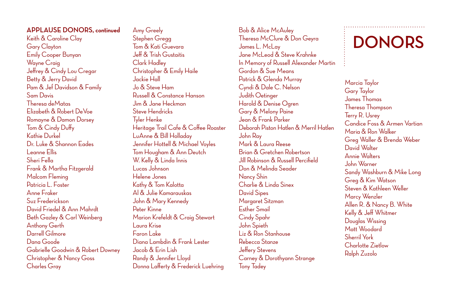#### **APPLAUSE DONORS, continued**

Keith & Caroline Clay Gary Clayton Emily Cooper Bunyan Wayne Craig Jeffrey & Cindy Lou Cregar Betty & Jerry David Pam & Jef Davidson & Family Sam Davis Theresa deMatas Elizabeth & Robert DeVoe Romayne & Damon Dorsey Tom & Cindy Duffy Kathie Durkel Dr. Luke & Shannon Eades Leanne Ellis Sheri Fella Frank & Martha Fitzgerald Malcom Fleming Patricia L. Foster Anne Fraker Suz Frederickson David Friedel & Ann Mahrdt Beth Gazley & Carl Weinberg Anthony Gerth Darrell Gilmore Dana Goode Gabrielle Goodwin & Robert Downey Christopher & Nancy Goss Charles Gray

Amy Greely Stephen Gregg Tom & Kati Guevara Jeff & Trish Gustaitis Clark Hadley Christopher & Emily Haile Jackie Hall Jo & Steve Ham Russell & Constance Hanson Jim & Jane Heckman Steve Hendricks Tyler Henke Heritage Trail Cafe & Coffee Roaster LuAnne & Bill Holladay Jennifer Hottell & Michael Voyles Tom Hougham & Ann Deutch W. Kelly & Linda Innis Lucas Johnson Helene Jones Kathy & Tom Kalotta Al & Julie Kamarauskas John & Mary Kennedy Peter Kinne Marion Krefeldt & Craig Stewart Laura Krise Faron Lake Diana Lambdin & Frank Lester Jacob & Erin Lish Randy & Jennifer Lloyd Donna Lafferty & Frederick Luehring

Bob & Alice McAuley Theresa McClure & Don Geyra James L. McLay Jane McLeod & Steve Krahnke In Memory of Russell Alexander Martin Gordon & Sue Means Patrick & Glenda Murray Cyndi & Dale C. Nelson Judith Oetinger Harold & Denise Ogren Gary & Melony Paine Jean & Frank Parker Deborah Piston Hatlen & Merril Hatlen John Ray Mark & Laura Reese Brian & Gretchen Robertson Jill Robinson & Russell Percifield Don & Melinda Seader Nancy Shin Charlie & Linda Sinex David Sipes Margaret Sitzman Esther Smail Cindy Spahr John Spieth Liz & Ron Stanhouse Rebecca Stanze Jeffery Stevens Carney & Dorothyann Strange Tony Tadey

### **Donors**

Marcia Taylor Gary Taylor James Thomas Theresa Thompson Terry R. Usrey Candice Foss & Armen Vartian Maria & Ron Walker Greg Waller & Brenda Weber David Walter Annie Walters John Warner Sandy Washburn & Mike Long Greg & Kim Watson Steven & Kathleen Weller Marcy Wenzler Allen R. & Nancy B. White Kelly & Jeff Whitmer Douglas Wissing Matt Woodard Sherril York Charlotte Zietlow Ralph Zuzolo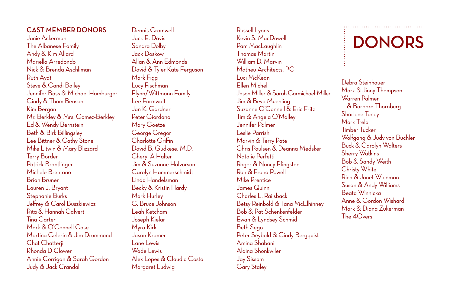#### **CAST MEMBER DONORS**

Janie Ackerman The Albanese Family Andy & Kim Allard Mariella Arredondo Nick & Brenda Aschliman Ruth Aydt Steve & Candi Bailey Jennifer Bass & Michael Hamburger Cindy & Thom Benson Kim Bergan Mr. Berkley & Mrs. Gomez-Berkley Ed & Wendy Bernstein Beth & Birk Billingsley Lee Bittner & Cathy Stone Mike Litwin & Mary Blizzard Terry Border Patrick Brantlinger Michele Brentano Brian Bruner Lauren J. Bryant Stephanie Burks Jeffrey & Carol Buszkiewicz Rita & Hannah Calvert Tina Carter Mark & O'Connell Case Martina Celerin & Jim Drummond Chat Chatterji Rhonda D Clower Annie Corrigan & Sarah Gordon Judy & Jack Crandall

Dennis Cromwell Jack E. Davis Sandra Dolby Jack Doskow Allan & Ann Edmonds David & Tyler Kate Ferguson Mark Figg Lucy Fischman Flynn/Wittmann Family Lee Formwalt Jan K. Gardner Peter Giordano Mary Goetze George Gregor Charlotte Griffin David B. Gudkese, M.D. Cheryl A Halter Jim & Suzanne Halvorson Carolyn Hammerschmidt Linda Handelsman Becky & Kristin Hardy Mark Hurley G. Bruce Johnson Leah Ketcham Joseph Kielar Myra Kirk Jason Kramer Lane Lewis Wade Lewis Alex Lopes & Claudia Costa Margaret Ludwig

Russell Lyons Kevin S. MacDowell Pam MacLaughlin Thomas Martin William D. Marvin Matheu Architects, PC. Luci McKean Ellen Michel Jason Miller & Sarah Carmichael-Miller Jim & Bevo Muehling Suzanne O'Connell & Eric Fritz Tim & Angela O'Malley Jennifer Palmer Leslie Parrish Marvin & Terry Pate Chris Paulsen & Deanna Medsker Natalie Perfetti Roger & Nancy Pfingston Ron & Frona Powell Mike Prentice James Quinn Charles L. Railsback Betsy Reinbold & Tana McElhinney Bob & Pat Schenkenfelder Ewan & Lyndsey Schmid Beth Sego Peter Seybold & Cindy Bergquist Amina Shabani Alaina Shonkwiler Jay Sissom Gary Staley

### **Donors**

Debra Steinhauer Mark & Jinny Thompson Warren Palmer & Barbara Thornburg Sharlene Toney Mark Trela Timber Tucker Wolfgang & Judy von Buchler Buck & Carolyn Walters Sherry Watkins Bob & Sandy Weith Christy White Rich & Janet Wienman Susan & Andy Williams Beata Winnicka Anne & Gordon Wishard Mark & Diana Zukerman  $The AObers$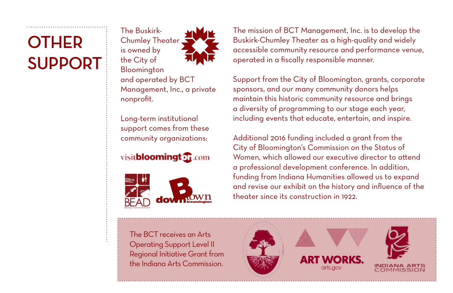## **OTHER Support**

The Buskirk-Chumley Theater is owned by the City of Bloomington and operated by BCT Management, Inc., a private nonprofit.

Long-term institutional support comes from these community organizations:

visit**bloomingt** of com



The mission of BCT Management, Inc. is to develop the Buskirk-Chumley Theater as a high-quality and widely accessible community resource and performance venue, operated in a fiscally responsible manner.

Support from the City of Bloomington, grants, corporate sponsors, and our many community donors helps maintain this historic community resource and brings a diversity of programming to our stage each year, including events that educate, entertain, and inspire.

Additional 2016 funding included a grant from the City of Bloomington's Commission on the Status of Women, which allowed our executive director to attend a professional development conference. In addition, funding from Indiana Humanities allowed us to expand and revise our exhibit on the history and influence of the theater since its construction in 1922.

The BCT receives an Arts Operating Support Level II Regional Initiative Grant from the Indiana Arts Commission.

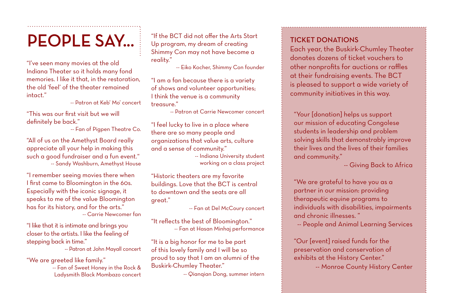"I've seen many movies at the old Indiana Theater so it holds many fond memories. I like it that, in the restoration, the old 'feel' of the theater remained intact."

-- Patron at Keb' Mo' concert

"This was our first visit but we will definitely be back."

-- Fan of Pigpen Theatre Co.

"All of us on the Amethyst Board really appreciate all your help in making this such a good fundraiser and a fun event." -- Sandy Washburn, Amethyst House

"I remember seeing movies there when I first came to Bloomington in the 60s. Especially with the iconic signage, it speaks to me of the value Bloomington has for its history, and for the arts." -- Carrie Newcomer fan

"I like that it is intimate and brings you closer to the artists. I like the feeling of stepping back in time."

-- Patron at John Mayall concert

"We are greeted like family." -- Fan of Sweet Honey in the Rock & Ladysmith Black Mombazo concert

**PEOPLE SAY...** The BCT did not offer the Arts Start TICKET DONATIONS "If the BCT did not offer the Arts Start Up program, my dream of creating Shimmy Con may not have become a reality."

-- Eiko Kocher, Shimmy Con founder

"I am a fan because there is a variety of shows and volunteer opportunities; I think the venue is a community treasure."

-- Patron at Carrie Newcomer concert

"I feel lucky to live in a place where there are so many people and organizations that value arts, culture and a sense of community."

-- Indiana University student working on a class project

"Historic theaters are my favorite buildings. Love that the BCT is central to downtown and the seats are all great."

-- Fan at Del McCoury concert

"It reflects the best of Bloomington." -- Fan at Hasan Minhaj performance

"It is a big honor for me to be part of this lovely family and I will be so proud to say that I am an alumni of the Buskirk-Chumley Theater."

-- Qianqian Dong, summer intern

Each year, the Buskirk-Chumley Theater donates dozens of ticket vouchers to other nonprofits for auctions or raffles at their fundraising events. The BCT is pleased to support a wide variety of community initiatives in this way.

"Your [donation] helps us support our mission of educating Congolese students in leadership and problem solving skills that demonstrably improve their lives and the lives of their families and community."

-- Giving Back to Africa

"We are grateful to have you as a partner in our mission: providing therapeutic equine programs to individuals with disabilities, impairments and chronic illnesses. "

-- People and Animal Learning Services

"Our [event] raised funds for the preservation and conservation of exhibits at the History Center."

-- Monroe County History Center